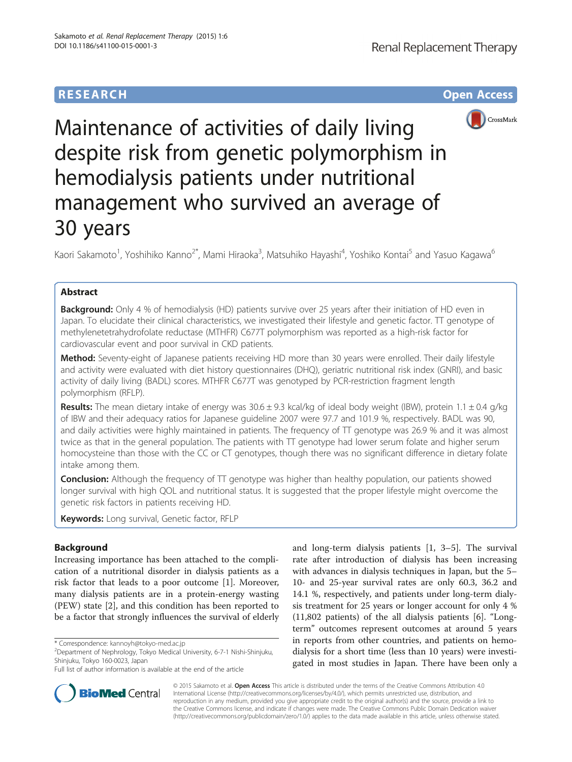

# Maintenance of activities of daily living despite risk from genetic polymorphism in hemodialysis patients under nutritional management who survived an average of 30 years

Kaori Sakamoto<sup>1</sup>, Yoshihiko Kanno<sup>2\*</sup>, Mami Hiraoka<sup>3</sup>, Matsuhiko Hayashi<sup>4</sup>, Yoshiko Kontai<sup>5</sup> and Yasuo Kagawa<sup>6</sup>

# Abstract

**Background:** Only 4 % of hemodialysis (HD) patients survive over 25 years after their initiation of HD even in Japan. To elucidate their clinical characteristics, we investigated their lifestyle and genetic factor. TT genotype of methylenetetrahydrofolate reductase (MTHFR) C677T polymorphism was reported as a high-risk factor for cardiovascular event and poor survival in CKD patients.

Method: Seventy-eight of Japanese patients receiving HD more than 30 years were enrolled. Their daily lifestyle and activity were evaluated with diet history questionnaires (DHQ), geriatric nutritional risk index (GNRI), and basic activity of daily living (BADL) scores. MTHFR C677T was genotyped by PCR-restriction fragment length polymorphism (RFLP).

Results: The mean dietary intake of energy was  $30.6 \pm 9.3$  kcal/kg of ideal body weight (IBW), protein 1.1  $\pm$  0.4 g/kg of IBW and their adequacy ratios for Japanese guideline 2007 were 97.7 and 101.9 %, respectively. BADL was 90, and daily activities were highly maintained in patients. The frequency of TT genotype was 26.9 % and it was almost twice as that in the general population. The patients with TT genotype had lower serum folate and higher serum homocysteine than those with the CC or CT genotypes, though there was no significant difference in dietary folate intake among them.

**Conclusion:** Although the frequency of  $\Pi$  genotype was higher than healthy population, our patients showed longer survival with high QOL and nutritional status. It is suggested that the proper lifestyle might overcome the genetic risk factors in patients receiving HD.

Keywords: Long survival, Genetic factor, RFLP

# Background

Increasing importance has been attached to the complication of a nutritional disorder in dialysis patients as a risk factor that leads to a poor outcome [[1\]](#page-9-0). Moreover, many dialysis patients are in a protein-energy wasting (PEW) state [[2\]](#page-9-0), and this condition has been reported to be a factor that strongly influences the survival of elderly

and long-term dialysis patients [[1, 3](#page-9-0)–[5\]](#page-9-0). The survival rate after introduction of dialysis has been increasing with advances in dialysis techniques in Japan, but the 5– 10- and 25-year survival rates are only 60.3, 36.2 and 14.1 %, respectively, and patients under long-term dialysis treatment for 25 years or longer account for only 4 % (11,802 patients) of the all dialysis patients [[6\]](#page-9-0). "Longterm" outcomes represent outcomes at around 5 years in reports from other countries, and patients on hemodialysis for a short time (less than 10 years) were investigated in most studies in Japan. There have been only a



© 2015 Sakamoto et al. Open Access This article is distributed under the terms of the Creative Commons Attribution 4.0 International License [\(http://creativecommons.org/licenses/by/4.0/](http://creativecommons.org/licenses/by/4.0/)), which permits unrestricted use, distribution, and reproduction in any medium, provided you give appropriate credit to the original author(s) and the source, provide a link to the Creative Commons license, and indicate if changes were made. The Creative Commons Public Domain Dedication waiver [\(http://creativecommons.org/publicdomain/zero/1.0/](http://creativecommons.org/publicdomain/zero/1.0/)) applies to the data made available in this article, unless otherwise stated.

<sup>\*</sup> Correspondence: [kannoyh@tokyo-med.ac.jp](mailto:kannoyh@tokyo-med.ac.jp) <sup>2</sup>

Department of Nephrology, Tokyo Medical University, 6-7-1 Nishi-Shinjuku, Shinjuku, Tokyo 160-0023, Japan

Full list of author information is available at the end of the article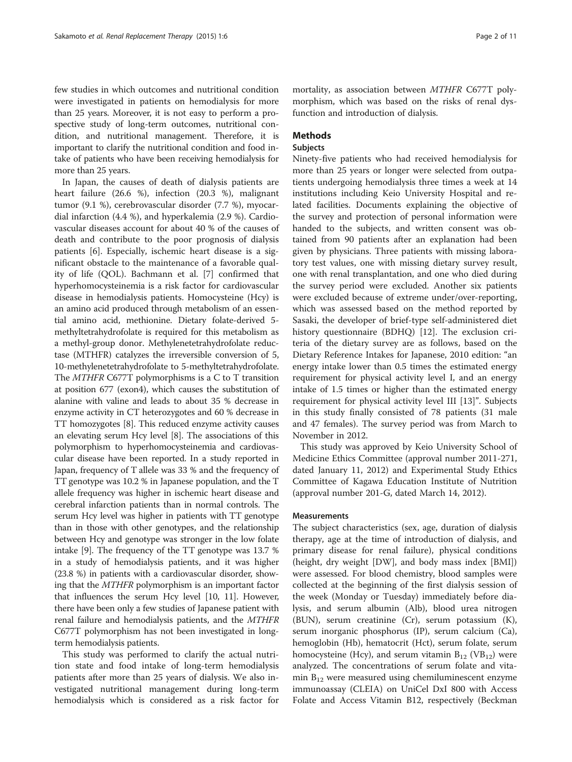few studies in which outcomes and nutritional condition were investigated in patients on hemodialysis for more than 25 years. Moreover, it is not easy to perform a prospective study of long-term outcomes, nutritional condition, and nutritional management. Therefore, it is important to clarify the nutritional condition and food intake of patients who have been receiving hemodialysis for more than 25 years.

In Japan, the causes of death of dialysis patients are heart failure (26.6 %), infection (20.3 %), malignant tumor (9.1 %), cerebrovascular disorder (7.7 %), myocardial infarction (4.4 %), and hyperkalemia (2.9 %). Cardiovascular diseases account for about 40 % of the causes of death and contribute to the poor prognosis of dialysis patients [[6](#page-9-0)]. Especially, ischemic heart disease is a significant obstacle to the maintenance of a favorable quality of life (QOL). Bachmann et al. [[7\]](#page-9-0) confirmed that hyperhomocysteinemia is a risk factor for cardiovascular disease in hemodialysis patients. Homocysteine (Hcy) is an amino acid produced through metabolism of an essential amino acid, methionine. Dietary folate-derived 5 methyltetrahydrofolate is required for this metabolism as a methyl-group donor. Methylenetetrahydrofolate reductase (MTHFR) catalyzes the irreversible conversion of 5, 10-methylenetetrahydrofolate to 5-methyltetrahydrofolate. The MTHFR C677T polymorphisms is a C to T transition at position 677 (exon4), which causes the substitution of alanine with valine and leads to about 35 % decrease in enzyme activity in CT heterozygotes and 60 % decrease in TT homozygotes [\[8](#page-9-0)]. This reduced enzyme activity causes an elevating serum Hcy level [\[8\]](#page-9-0). The associations of this polymorphism to hyperhomocysteinemia and cardiovascular disease have been reported. In a study reported in Japan, frequency of T allele was 33 % and the frequency of TT genotype was 10.2 % in Japanese population, and the T allele frequency was higher in ischemic heart disease and cerebral infarction patients than in normal controls. The serum Hcy level was higher in patients with TT genotype than in those with other genotypes, and the relationship between Hcy and genotype was stronger in the low folate intake [[9](#page-9-0)]. The frequency of the TT genotype was 13.7 % in a study of hemodialysis patients, and it was higher (23.8 %) in patients with a cardiovascular disorder, showing that the MTHFR polymorphism is an important factor that influences the serum Hcy level [[10](#page-9-0), [11](#page-9-0)]. However, there have been only a few studies of Japanese patient with renal failure and hemodialysis patients, and the MTHFR C677T polymorphism has not been investigated in longterm hemodialysis patients.

This study was performed to clarify the actual nutrition state and food intake of long-term hemodialysis patients after more than 25 years of dialysis. We also investigated nutritional management during long-term hemodialysis which is considered as a risk factor for

mortality, as association between MTHFR C677T polymorphism, which was based on the risks of renal dysfunction and introduction of dialysis.

## Methods

## Subjects

Ninety-five patients who had received hemodialysis for more than 25 years or longer were selected from outpatients undergoing hemodialysis three times a week at 14 institutions including Keio University Hospital and related facilities. Documents explaining the objective of the survey and protection of personal information were handed to the subjects, and written consent was obtained from 90 patients after an explanation had been given by physicians. Three patients with missing laboratory test values, one with missing dietary survey result, one with renal transplantation, and one who died during the survey period were excluded. Another six patients were excluded because of extreme under/over-reporting, which was assessed based on the method reported by Sasaki, the developer of brief-type self-administered diet history questionnaire (BDHQ) [\[12](#page-9-0)]. The exclusion criteria of the dietary survey are as follows, based on the Dietary Reference Intakes for Japanese, 2010 edition: "an energy intake lower than 0.5 times the estimated energy requirement for physical activity level I, and an energy intake of 1.5 times or higher than the estimated energy requirement for physical activity level III [\[13](#page-9-0)]". Subjects in this study finally consisted of 78 patients (31 male and 47 females). The survey period was from March to November in 2012.

This study was approved by Keio University School of Medicine Ethics Committee (approval number 2011-271, dated January 11, 2012) and Experimental Study Ethics Committee of Kagawa Education Institute of Nutrition (approval number 201-G, dated March 14, 2012).

## **Measurements**

The subject characteristics (sex, age, duration of dialysis therapy, age at the time of introduction of dialysis, and primary disease for renal failure), physical conditions (height, dry weight [DW], and body mass index [BMI]) were assessed. For blood chemistry, blood samples were collected at the beginning of the first dialysis session of the week (Monday or Tuesday) immediately before dialysis, and serum albumin (Alb), blood urea nitrogen (BUN), serum creatinine (Cr), serum potassium (K), serum inorganic phosphorus (IP), serum calcium (Ca), hemoglobin (Hb), hematocrit (Hct), serum folate, serum homocysteine (Hcy), and serum vitamin  $B_{12}$  (V $B_{12}$ ) were analyzed. The concentrations of serum folate and vitamin  $B_{12}$  were measured using chemiluminescent enzyme immunoassay (CLEIA) on UniCel DxI 800 with Access Folate and Access Vitamin B12, respectively (Beckman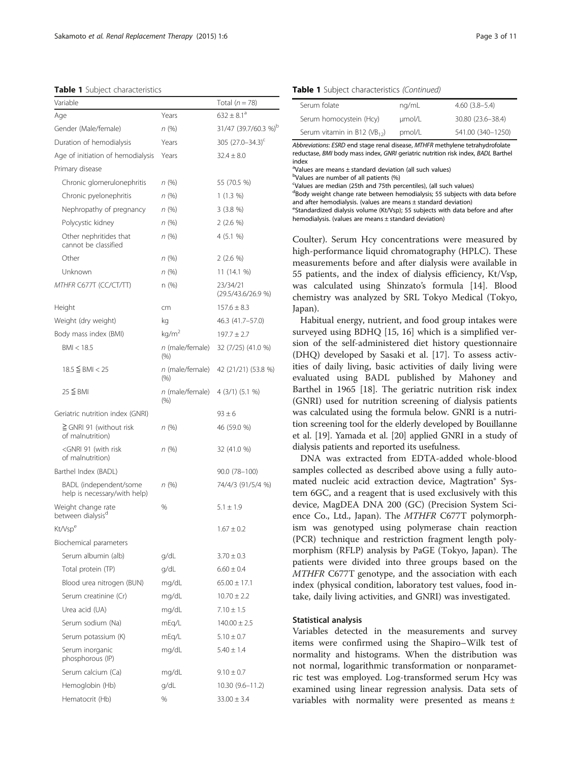<span id="page-2-0"></span>Table 1 Subject characteristics

| Variable                                                |                          | Total $(n=78)$                   |
|---------------------------------------------------------|--------------------------|----------------------------------|
| Age                                                     | Years                    | $632 \pm 8.1^{\circ}$            |
| Gender (Male/female)                                    | n(%)                     | 31/47 (39.7/60.3 %) <sup>b</sup> |
| Duration of hemodialysis                                | Years                    | 305 $(27.0 - 34.3)^{c}$          |
| Age of initiation of hemodialysis                       | Years                    | $32.4 \pm 8.0$                   |
| Primary disease                                         |                          |                                  |
| Chronic glomerulonephritis                              | n(%)                     | 55 (70.5 %)                      |
| Chronic pyelonephritis                                  | n (%)                    | 1(1.3%)                          |
| Nephropathy of pregnancy                                | n (%)                    | 3(3.8%)                          |
| Polycystic kidney                                       | n(%)                     | $2(2.6\%)$                       |
| Other nephritides that<br>cannot be classified          | n(%)                     | 4(5.1%                           |
| Other                                                   | n(%)                     | $2(2.6\%)$                       |
| Unknown                                                 | n (%)                    | 11 (14.1 %)                      |
| MTHFR C677T (CC/CT/TT)                                  | n(%)                     | 23/34/21<br>(29.5/43.6/26.9 %)   |
| Height                                                  | cm                       | $157.6 \pm 8.3$                  |
| Weight (dry weight)                                     | kg                       | 46.3 (41.7–57.0)                 |
| Body mass index (BMI)                                   | kg/m <sup>2</sup>        | $197.7 \pm 2.7$                  |
| BM < 18.5                                               | $n$ (male/female)<br>(%) | 32 (7/25) (41.0 %)               |
| $18.5 \leq BMI < 25$                                    | n (male/female)<br>(9/6) | 42 (21/21) (53.8 %)              |
| $25 \leq$ BMI                                           | n (male/female)<br>(% )  | 4(3/1)(5.1%                      |
| Geriatric nutrition index (GNRI)                        |                          | $93 \pm 6$                       |
| $\ge$ GNRI 91 (without risk<br>of malnutrition)         | n(%)                     | 46 (59.0 %)                      |
| <gnri (with="" 91="" risk<br="">of malnutrition)</gnri> | n(%)                     | 32 (41.0 %)                      |
| Barthel Index (BADL)                                    |                          | 90.0 (78-100)                    |
| BADL (independent/some<br>help is necessary/with help)  | n(%)                     | 74/4/3 (91/5/4 %)                |
| Weight change rate<br>between dialysis <sup>a</sup>     | %                        | $5.1 \pm 1.9$                    |
| Kt/Vsp <sup>e</sup>                                     |                          | $1.67 \pm 0.2$                   |
| Biochemical parameters                                  |                          |                                  |
| Serum albumin (alb)                                     | g/dL                     | $3.70 \pm 0.3$                   |
| Total protein (TP)                                      | g/dL                     | $6.60 \pm 0.4$                   |
| Blood urea nitrogen (BUN)                               | mg/dL                    | $65.00 \pm 17.1$                 |
| Serum creatinine (Cr)                                   | mg/dL                    | $10.70 \pm 2.2$                  |
| Urea acid (UA)                                          | mg/dL                    | $7.10 \pm 1.5$                   |
| Serum sodium (Na)                                       | mEg/L                    | $140.00 \pm 2.5$                 |
| Serum potassium (K)                                     | mEq/L                    | $5.10 \pm 0.7$                   |
| Serum inorganic<br>phosphorous (IP)                     | mg/dL                    | $5.40 \pm 1.4$                   |
| Serum calcium (Ca)                                      | mg/dL                    | $9.10 \pm 0.7$                   |
| Hemoglobin (Hb)                                         | g/dL                     | $10.30(9.6 - 11.2)$              |
| Hematocrit (Hb)                                         | %                        | $33.00 \pm 3.4$                  |

#### Table 1 Subject characteristics (Continued)

| Serum folate                       | nq/mL       | $4.60(3.8-5.4)$   |
|------------------------------------|-------------|-------------------|
| Serum homocystein (Hcy)            | $\mu$ mol/L | 30.80 (23.6-38.4) |
| Serum vitamin in B12 ( $VB_{12}$ ) | pmol/L      | 541.00 (340-1250) |

Abbreviations: ESRD end stage renal disease, MTHFR methylene tetrahydrofolate reductase, BMI body mass index, GNRI geriatric nutrition risk index, BADL Barthel index

a Values are means ± standard deviation (all such values)

b Values are number of all patients (%)

c Values are median (25th and 75th percentiles), (all such values)

d Body weight change rate between hemodialysis; 55 subjects with data before and after hemodialysis. (values are means ± standard deviation)

eStandardized dialysis volume (Kt/Vsp); 55 subjects with data before and after hemodialysis. (values are means ± standard deviation)

Coulter). Serum Hcy concentrations were measured by high-performance liquid chromatography (HPLC). These measurements before and after dialysis were available in 55 patients, and the index of dialysis efficiency, Kt/Vsp, was calculated using Shinzato's formula [[14\]](#page-9-0). Blood chemistry was analyzed by SRL Tokyo Medical (Tokyo, Japan).

Habitual energy, nutrient, and food group intakes were surveyed using BDHQ [\[15](#page-9-0), [16](#page-9-0)] which is a simplified version of the self-administered diet history questionnaire (DHQ) developed by Sasaki et al. [\[17\]](#page-9-0). To assess activities of daily living, basic activities of daily living were evaluated using BADL published by Mahoney and Barthel in 1965 [\[18\]](#page-9-0). The geriatric nutrition risk index (GNRI) used for nutrition screening of dialysis patients was calculated using the formula below. GNRI is a nutrition screening tool for the elderly developed by Bouillanne et al. [\[19\]](#page-9-0). Yamada et al. [[20](#page-9-0)] applied GNRI in a study of dialysis patients and reported its usefulness.

DNA was extracted from EDTA-added whole-blood samples collected as described above using a fully automated nucleic acid extraction device, Magtration® System 6GC, and a reagent that is used exclusively with this device, MagDEA DNA 200 (GC) (Precision System Science Co., Ltd., Japan). The MTHFR C677T polymorphism was genotyped using polymerase chain reaction (PCR) technique and restriction fragment length polymorphism (RFLP) analysis by PaGE (Tokyo, Japan). The patients were divided into three groups based on the MTHFR C677T genotype, and the association with each index (physical condition, laboratory test values, food intake, daily living activities, and GNRI) was investigated.

## Statistical analysis

Variables detected in the measurements and survey items were confirmed using the Shapiro–Wilk test of normality and histograms. When the distribution was not normal, logarithmic transformation or nonparametric test was employed. Log-transformed serum Hcy was examined using linear regression analysis. Data sets of variables with normality were presented as means ±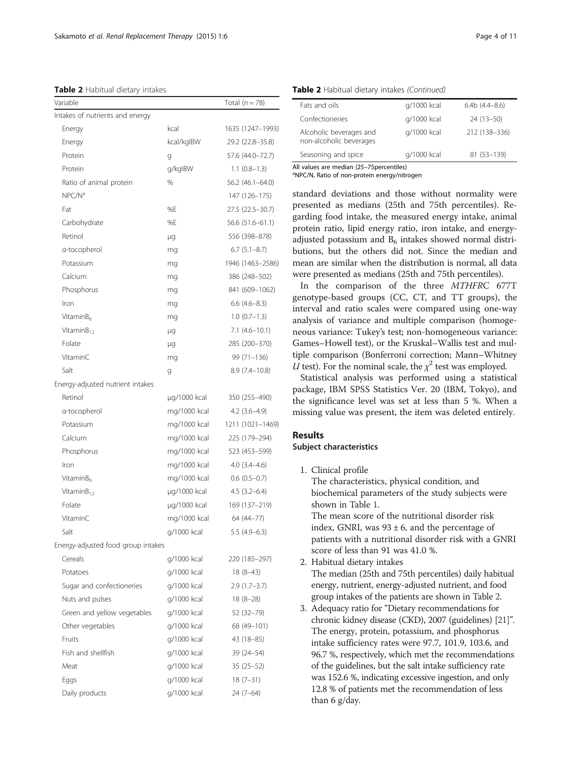#### Table 2 Habitual dietary intakes

| Variable                           |              | Total $(n = 78)$    |
|------------------------------------|--------------|---------------------|
| Intakes of nutrients and energy    |              |                     |
| Energy                             | kcal         | 1635 (1247-1993)    |
| Energy                             | kcal/kgIBW   | 29.2 (22.8-35.8)    |
| Protein                            | g            | 57.6 (44.0-72.7)    |
| Protein                            | g/kgIBW      | $1.1(0.8-1.3)$      |
| Ratio of animal protein            | %            | 56.2 (46.1–64.0)    |
| $NPC/N^a$                          |              | 147 (126-175)       |
| Fat                                | %E           | 27.5 (22.5-30.7)    |
| Carbohydrate                       | %E           | 56.6 (51.6–61.1)    |
| Retinol                            | μg           | 556 (398-878)       |
| a-tocopherol                       | mg           | $6.7$ $(5.1 - 8.7)$ |
| Potassium                          | mg           | 1946 (1463–2586)    |
| Calcium                            | mg           | 386 (248–502)       |
| Phosphorus                         | mg           | 841 (609-1062)      |
| Iron                               | mg           | $6.6(4.6-8.3)$      |
| Vitamin $B_6$                      | mg           | $1.0(0.7-1.3)$      |
| Vitamin $B_{12}$                   | μg           | $7.1 (4.6 - 10.1)$  |
| Folate                             | μg           | 285 (200-370)       |
| VitaminC                           | mg           | 99 (71-136)         |
| Salt                               | g            | 8.9 (7.4-10.8)      |
| Energy-adjusted nutrient intakes   |              |                     |
| Retinol                            | µg/1000 kcal | 350 (255–490)       |
| a-tocopherol                       | mg/1000 kcal | $4.2$ $(3.6-4.9)$   |
| Potassium                          | mg/1000 kcal | 1211 (1021–1469)    |
| Calcium                            | mg/1000 kcal | 225 (179–294)       |
| Phosphorus                         | mg/1000 kcal | 523 (453-599)       |
| Iron                               | mg/1000 kcal | $4.0$ $(3.4-4.6)$   |
| Vitamin $B_6$                      | mg/1000 kcal | $0.6(0.5-0.7)$      |
| Vitamin $B_{12}$                   | µg/1000 kcal | $4.5(3.2-6.4)$      |
| Folate                             | µg/1000 kcal | 169 (137–219)       |
| VitaminC                           | mg/1000 kcal | 64 (44-77)          |
| Salt                               | g/1000 kcal  | $5.5(4.9-6.3)$      |
| Energy-adjusted food group intakes |              |                     |
| Cereals                            | g/1000 kcal  | 220 (185-297)       |
| Potatoes                           | g/1000 kcal  | $18(8-43)$          |
| Sugar and confectioneries          | g/1000 kcal  | $2.9(1.7-3.7)$      |
| Nuts and pulses                    | g/1000 kcal  | $18(8-28)$          |
| Green and yellow vegetables        | g/1000 kcal  | 52 (32-79)          |
| Other vegetables                   | g/1000 kcal  | 68 (49-101)         |
| Fruits                             | g/1000 kcal  | 43 (18-85)          |
| Fish and shellfish                 | g/1000 kcal  | 39 (24-54)          |
| Meat                               | g/1000 kcal  | $35(25-52)$         |
| Eggs                               | g/1000 kcal  | $18(7 - 31)$        |
| Daily products                     | g/1000 kcal  | 24 (7–64)           |
|                                    |              |                     |

## Table 2 Habitual dietary intakes (Continued)

| Fats and oils                                      | g/1000 kcal | $6.4b(4.4 - 8.6)$ |
|----------------------------------------------------|-------------|-------------------|
| Confectioneries                                    | g/1000 kcal | $24(13-50)$       |
| Alcoholic beverages and<br>non-alcoholic beverages | g/1000 kcal | 212 (138-336)     |
| Seasoning and spice                                | g/1000 kcal | 81 (53-139)       |

All values are median (25-75 percentiles)

<sup>a</sup>NPC/N, Ratio of non-protein energy/nitrogen

standard deviations and those without normality were presented as medians (25th and 75th percentiles). Regarding food intake, the measured energy intake, animal protein ratio, lipid energy ratio, iron intake, and energyadjusted potassium and  $B_6$  intakes showed normal distributions, but the others did not. Since the median and mean are similar when the distribution is normal, all data were presented as medians (25th and 75th percentiles).

In the comparison of the three MTHFRC 677T genotype-based groups (CC, CT, and TT groups), the interval and ratio scales were compared using one-way analysis of variance and multiple comparison (homogeneous variance: Tukey's test; non-homogeneous variance: Games–Howell test), or the Kruskal–Wallis test and multiple comparison (Bonferroni correction; Mann–Whitney U test). For the nominal scale, the  $\chi^2$  test was employed.

Statistical analysis was performed using a statistical package, IBM SPSS Statistics Ver. 20 (IBM, Tokyo), and the significance level was set at less than 5 %. When a missing value was present, the item was deleted entirely.

## Results

## Subject characteristics

1. Clinical profile

The characteristics, physical condition, and biochemical parameters of the study subjects were shown in Table [1.](#page-2-0)

The mean score of the nutritional disorder risk index, GNRI, was  $93 \pm 6$ , and the percentage of patients with a nutritional disorder risk with a GNRI score of less than 91 was 41.0 %.

- 2. Habitual dietary intakes The median (25th and 75th percentiles) daily habitual energy, nutrient, energy-adjusted nutrient, and food group intakes of the patients are shown in Table 2.
- 3. Adequacy ratio for "Dietary recommendations for chronic kidney disease (CKD), 2007 (guidelines) [\[21\]](#page-9-0)". The energy, protein, potassium, and phosphorus intake sufficiency rates were 97.7, 101.9, 103.6, and 96.7 %, respectively, which met the recommendations of the guidelines, but the salt intake sufficiency rate was 152.6 %, indicating excessive ingestion, and only 12.8 % of patients met the recommendation of less than 6 g/day.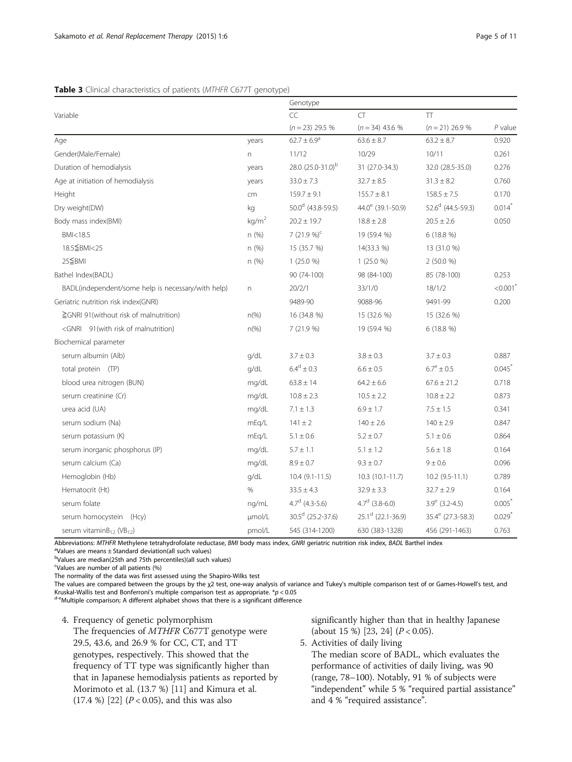## <span id="page-4-0"></span>Table 3 Clinical characteristics of patients (MTHFR C677T genotype)

|                                                                                                                                                               |                   | Genotype                      |                               |                               |                      |
|---------------------------------------------------------------------------------------------------------------------------------------------------------------|-------------------|-------------------------------|-------------------------------|-------------------------------|----------------------|
| Variable                                                                                                                                                      |                   | CC                            | CT                            | TT                            |                      |
|                                                                                                                                                               |                   | $(n = 23)$ 29.5 %             | $(n = 34)$ 43.6 %             | $(n = 21)$ 26.9 %             | $P$ value            |
| Age                                                                                                                                                           | years             | $62.7 \pm 6.9^a$              | $63.6 \pm 8.7$                | $63.2 \pm 8.7$                | 0.920                |
| Gender(Male/Female)                                                                                                                                           | n.                | 11/12                         | 10/29                         | 10/11                         | 0.261                |
| Duration of hemodialysis                                                                                                                                      | years             | 28.0 (25.0-31.0) <sup>b</sup> | 31 (27.0-34.3)                | 32.0 (28.5-35.0)              | 0.276                |
| Age at initiation of hemodialysis                                                                                                                             | years             | $33.0 \pm 7.3$                | $32.7 \pm 8.5$                | $31.3 \pm 8.2$                | 0.760                |
| Height                                                                                                                                                        | cm                | $159.7 \pm 9.1$               | $155.7 \pm 8.1$               | $158.5 \pm 7.5$               | 0.170                |
| Dry weight(DW)                                                                                                                                                | kg                | 50.0 <sup>d</sup> (43.8-59.5) | 44.0 <sup>e</sup> (39.1-50.9) | 52.6 <sup>d</sup> (44.5-59.3) | $0.014$ <sup>*</sup> |
| Body mass index(BMI)                                                                                                                                          | kg/m <sup>2</sup> | $20.2 \pm 19.7$               | $18.8 \pm 2.8$                | $20.5 \pm 2.6$                | 0.050                |
| BMI<18.5                                                                                                                                                      | n(%)              | 7 $(21.9\%)^c$                | 19 (59.4 %)                   | 6 (18.8 %)                    |                      |
| 18.5≦BMI<25                                                                                                                                                   | n (%)             | 15 (35.7 %)                   | 14(33.3 %)                    | 13 (31.0 %)                   |                      |
| 25≦BMI                                                                                                                                                        | n (%)             | 1(25.0%                       | 1(25.0%                       | 2(50.0 %)                     |                      |
| Bathel Index(BADL)                                                                                                                                            |                   | 90 (74-100)                   | 98 (84-100)                   | 85 (78-100)                   | 0.253                |
| BADL(independent/some help is necessary/with help)                                                                                                            | $\mathsf{n}$      | 20/2/1                        | 33/1/0                        | 18/1/2                        | < 0.001              |
| Geriatric nutrition risk index(GNRI)                                                                                                                          |                   | 9489-90                       | 9088-96                       | 9491-99                       | 0.200                |
| $\geq$ GNRI 91(without risk of malnutrition)                                                                                                                  | $n(\% )$          | 16 (34.8 %)                   | 15 (32.6 %)                   | 15 (32.6 %)                   |                      |
| <gnri 91(with="" malnutrition)<="" of="" risk="" td=""><td><math>n(\% )</math></td><td>7 (21.9 %)</td><td>19 (59.4 %)</td><td>6 (18.8 %)</td><td></td></gnri> | $n(\% )$          | 7 (21.9 %)                    | 19 (59.4 %)                   | 6 (18.8 %)                    |                      |
| Biochemical parameter                                                                                                                                         |                   |                               |                               |                               |                      |
| serum albumin (Alb)                                                                                                                                           | g/dL              | $3.7 \pm 0.3$                 | $3.8 \pm 0.3$                 | $3.7 \pm 0.3$                 | 0.887                |
| total protein (TP)                                                                                                                                            | g/dL              | $6.4^d \pm 0.3$               | $6.6\pm0.5$                   | $6.7^{\rm e} \pm 0.5$         | 0.045                |
| blood urea nitrogen (BUN)                                                                                                                                     | mg/dL             | $63.8 \pm 14$                 | $64.2 \pm 6.6$                | $67.6 \pm 21.2$               | 0.718                |
| serum creatinine (Cr)                                                                                                                                         | mg/dL             | $10.8 \pm 2.3$                | $10.5 \pm 2.2$                | $10.8 \pm 2.2$                | 0.873                |
| urea acid (UA)                                                                                                                                                | mg/dL             | $7.1 \pm 1.3$                 | $6.9 \pm 1.7$                 | $7.5 \pm 1.5$                 | 0.341                |
| serum sodium (Na)                                                                                                                                             | mEq/L             | $141 \pm 2$                   | $140 \pm 2.6$                 | $140 \pm 2.9$                 | 0.847                |
| serum potassium (K)                                                                                                                                           | mEq/L             | $5.1 \pm 0.6$                 | $5.2 \pm 0.7$                 | $5.1 \pm 0.6$                 | 0.864                |
| serum inorganic phosphorus (IP)                                                                                                                               | mg/dL             | $5.7 \pm 1.1$                 | $5.1 \pm 1.2$                 | $5.6 \pm 1.8$                 | 0.164                |
| serum calcium (Ca)                                                                                                                                            | mg/dL             | $8.9 \pm 0.7$                 | $9.3 \pm 0.7$                 | 9 ± 0.6                       | 0.096                |
| Hemoglobin (Hb)                                                                                                                                               | g/dL              | $10.4(9.1-11.5)$              | 10.3 (10.1-11.7)              | $10.2$ (9.5-11.1)             | 0.789                |
| Hematocrit (Ht)                                                                                                                                               | %                 | $33.5 \pm 4.3$                | $32.9 \pm 3.3$                | $32.7 \pm 2.9$                | 0.164                |
| serum folate                                                                                                                                                  | ng/mL             | $4.7^d$ (4.3-5.6)             | $4.7d$ (3.8-6.0)              | $3.9^e$ (3.2-4.5)             | 0.005                |
| serum homocystein (Hcy)                                                                                                                                       | µmol/L            | $30.5d$ (25.2-37.6)           | $25.1^d$ (22.1-36.9)          | 35.4 <sup>e</sup> (27.3-58.3) | $0.029$ <sup>*</sup> |
| serum vitamin $B_{12}$ (VB <sub>12</sub> )                                                                                                                    | pmol/L            | 545 (314-1200)                | 630 (383-1328)                | 456 (291-1463)                | 0.763                |

Abbreviations: MTHFR Methylene tetrahydrofolate reductase, BMI body mass index, GNRI geriatric nutrition risk index, BADL Barthel index

Values are means ± Standard deviation(all such values)

b Values are median(25th and 75th percentiles)(all such values)

c Values are number of all patients (%)

The normality of the data was first assessed using the Shapiro-Wilks test

The values are compared between the groups by the  $\chi$ 2 test, one-way analysis of variance and Tukey's multiple comparison test of or Games-Howell's test, and Kruskal-Wallis test and Bonferroni's multiple comparison test

 $d$ -eMultiple comparison; A different alphabet shows that there is a significant difference

4. Frequency of genetic polymorphism

The frequencies of MTHFR C677T genotype were 29.5, 43.6, and 26.9 % for CC, CT, and TT genotypes, respectively. This showed that the frequency of TT type was significantly higher than that in Japanese hemodialysis patients as reported by Morimoto et al. (13.7 %) [[11](#page-9-0)] and Kimura et al. (17.4 %) [[22](#page-9-0)]  $(P < 0.05)$ , and this was also

significantly higher than that in healthy Japanese (about 15 %) [[23](#page-9-0), [24\]](#page-9-0)  $(P < 0.05)$ .

5. Activities of daily living

The median score of BADL, which evaluates the performance of activities of daily living, was 90 (range, 78–100). Notably, 91 % of subjects were "independent" while 5 % "required partial assistance" and 4 % "required assistance".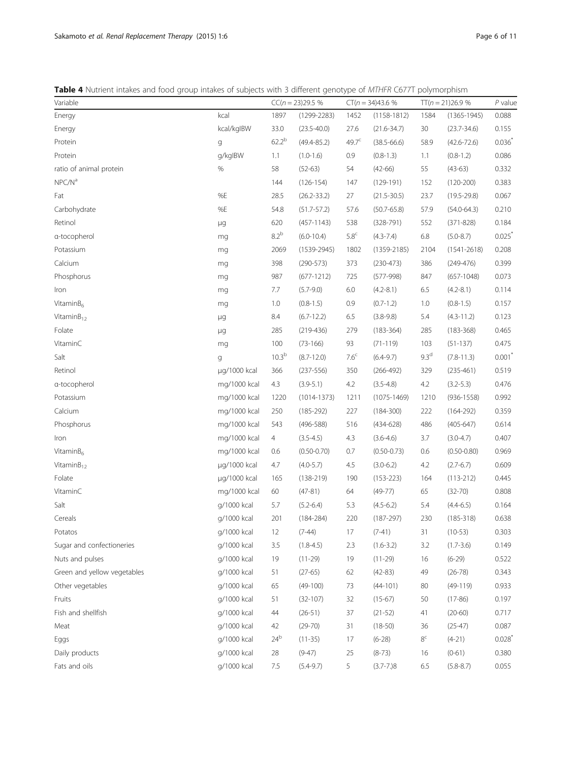<span id="page-5-0"></span>Table 4 Nutrient intakes and food group intakes of subjects with 3 different genotype of MTHFR C677T polymorphism

| Variable                    |              | $CC(n = 23)29.5%$ |                 | $CT(n = 34)43.6 %$ |                 | $TT(n = 21)26.9%$ |                 | $P$ value            |
|-----------------------------|--------------|-------------------|-----------------|--------------------|-----------------|-------------------|-----------------|----------------------|
| Energy                      | kcal         | 1897              | $(1299 - 2283)$ | 1452               | $(1158 - 1812)$ | 1584              | $(1365 - 1945)$ | 0.088                |
| Energy                      | kcal/kgIBW   | 33.0              | $(23.5 - 40.0)$ | 27.6               | $(21.6 - 34.7)$ | 30 <sup>°</sup>   | $(23.7 - 34.6)$ | 0.155                |
| Protein                     | g            | $62.2^{b}$        | $(49.4 - 85.2)$ | $49.7^c$           | $(38.5 - 66.6)$ | 58.9              | $(42.6 - 72.6)$ | $0.036*$             |
| Protein                     | g/kgIBW      | 1.1               | $(1.0-1.6)$     | 0.9                | $(0.8-1.3)$     | 1.1               | $(0.8-1.2)$     | 0.086                |
| ratio of animal protein     | $\%$         | 58                | $(52-63)$       | 54                 | $(42-66)$       | 55                | $(43-63)$       | 0.332                |
| $NPC/N^a$                   |              | 144               | $(126-154)$     | 147                | $(129-191)$     | 152               | $(120-200)$     | 0.383                |
| Fat                         | $\%E$        | 28.5              | $(26.2 - 33.2)$ | $27\,$             | $(21.5 - 30.5)$ | 23.7              | $(19.5 - 29.8)$ | 0.067                |
| Carbohydrate                | $96E$        | 54.8              | $(51.7 - 57.2)$ | 57.6               | $(50.7 - 65.8)$ | 57.9              | $(54.0 - 64.3)$ | 0.210                |
| Retinol                     | μg           | 620               | $(457-1143)$    | 538                | $(328 - 791)$   | 552               | $(371 - 828)$   | 0.184                |
| a-tocopherol                | mg           | $8.2^b$           | $(6.0 - 10.4)$  | $5.8^{\rm c}$      | $(4.3 - 7.4)$   | 6.8               | $(5.0 - 8.7)$   | 0.025                |
| Potassium                   | mg           | 2069              | $(1539 - 2945)$ | 1802               | $(1359 - 2185)$ | 2104              | $(1541 - 2618)$ | 0.208                |
| Calcium                     | mg           | 398               | $(290 - 573)$   | 373                | $(230-473)$     | 386               | $(249 - 476)$   | 0.399                |
| Phosphorus                  | mg           | 987               | $(677-1212)$    | 725                | $(577-998)$     | 847               | $(657-1048)$    | 0.073                |
| Iron                        | mg           | 7.7               | $(5.7 - 9.0)$   | $6.0\,$            | $(4.2 - 8.1)$   | 6.5               | $(4.2 - 8.1)$   | 0.114                |
| VitaminB <sub>6</sub>       | mg           | 1.0               | $(0.8 - 1.5)$   | 0.9                | $(0.7 - 1.2)$   | 1.0               | $(0.8 - 1.5)$   | 0.157                |
| Vitamin $B_{12}$            | μg           | 8.4               | $(6.7-12.2)$    | 6.5                | $(3.8 - 9.8)$   | 5.4               | $(4.3 - 11.2)$  | 0.123                |
| Folate                      | μg           | 285               | $(219-436)$     | 279                | $(183 - 364)$   | 285               | $(183 - 368)$   | 0.465                |
| VitaminC                    | mg           | 100               | $(73-166)$      | 93                 | $(71 - 119)$    | 103               | $(51-137)$      | 0.475                |
| Salt                        | g            | 10.3 <sup>b</sup> | $(8.7 - 12.0)$  | $7.6^{\circ}$      | $(6.4 - 9.7)$   | $9.3^d$           | $(7.8 - 11.3)$  | $0.001$ <sup>*</sup> |
| Retinol                     | µg/1000 kcal | 366               | $(237 - 556)$   | 350                | $(266 - 492)$   | 329               | $(235-461)$     | 0.519                |
| a-tocopherol                | mg/1000 kcal | 4.3               | $(3.9 - 5.1)$   | 4.2                | $(3.5 - 4.8)$   | 4.2               | $(3.2 - 5.3)$   | 0.476                |
| Potassium                   | mg/1000 kcal | 1220              | $(1014 - 1373)$ | 1211               | $(1075 - 1469)$ | 1210              | $(936 - 1558)$  | 0.992                |
| Calcium                     | mg/1000 kcal | 250               | $(185 - 292)$   | 227                | $(184 - 300)$   | 222               | $(164 - 292)$   | 0.359                |
| Phosphorus                  | mg/1000 kcal | 543               | $(496 - 588)$   | 516                | $(434 - 628)$   | 486               | $(405 - 647)$   | 0.614                |
| Iron                        | mg/1000 kcal | $\overline{4}$    | $(3.5 - 4.5)$   | 4.3                | $(3.6 - 4.6)$   | 3.7               | $(3.0 - 4.7)$   | 0.407                |
| Vitamin $B_6$               | mg/1000 kcal | 0.6               | $(0.50 - 0.70)$ | 0.7                | $(0.50 - 0.73)$ | 0.6               | $(0.50 - 0.80)$ | 0.969                |
| Vitamin $B_{12}$            | µg/1000 kcal | 4.7               | $(4.0 - 5.7)$   | 4.5                | $(3.0 - 6.2)$   | 4.2               | $(2.7-6.7)$     | 0.609                |
| Folate                      | µg/1000 kcal | 165               | $(138 - 219)$   | 190                | $(153 - 223)$   | 164               | $(113-212)$     | 0.445                |
| VitaminC                    | mg/1000 kcal | 60                | $(47-81)$       | 64                 | $(49-77)$       | 65                | $(32 - 70)$     | 0.808                |
| Salt                        | g/1000 kcal  | 5.7               | $(5.2 - 6.4)$   | 5.3                | $(4.5 - 6.2)$   | 5.4               | $(4.4 - 6.5)$   | 0.164                |
| Cereals                     | g/1000 kcal  | 201               | $(184 - 284)$   | 220                | $(187 - 297)$   | 230               | $(185 - 318)$   | 0.638                |
| Potatos                     | g/1000 kcal  | 12                | $(7-44)$        | 17                 | $(7-41)$        | 31                | $(10-53)$       | 0.303                |
| Sugar and confectioneries   | g/1000 kcal  | 3.5               | $(1.8 - 4.5)$   | 2.3                | $(1.6 - 3.2)$   | 3.2               | $(1.7 - 3.6)$   | 0.149                |
| Nuts and pulses             | g/1000 kcal  | 19                | $(11-29)$       | 19                 | $(11-29)$       | 16                | $(6-29)$        | 0.522                |
| Green and yellow vegetables | g/1000 kcal  | 51                | $(27-65)$       | 62                 | $(42 - 83)$     | 49                | $(26-78)$       | 0.343                |
| Other vegetables            | g/1000 kcal  | 65                | $(49-100)$      | 73                 | $(44 - 101)$    | 80                | $(49-119)$      | 0.933                |
| Fruits                      | g/1000 kcal  | 51                | $(32-107)$      | 32                 | $(15-67)$       | 50                | $(17-86)$       | 0.197                |
| Fish and shellfish          | g/1000 kcal  | 44                | $(26-51)$       | 37                 | $(21-52)$       | 41                | $(20-60)$       | 0.717                |
| Meat                        | g/1000 kcal  | 42                | $(29-70)$       | 31                 | $(18-50)$       | 36                | $(25-47)$       | 0.087                |
| Eggs                        | g/1000 kcal  | $24^b$            | $(11-35)$       | 17                 | $(6-28)$        | $8^\mathrm{c}$    | $(4-21)$        | 0.028                |
| Daily products              | g/1000 kcal  | 28                | $(9-47)$        | 25                 | $(8-73)$        | 16                | $(0-61)$        | 0.380                |
| Fats and oils               | g/1000 kcal  | $7.5\,$           | $(5.4 - 9.7)$   | 5                  | $(3.7 - 7.)8$   | $6.5\,$           | $(5.8 - 8.7)$   | 0.055                |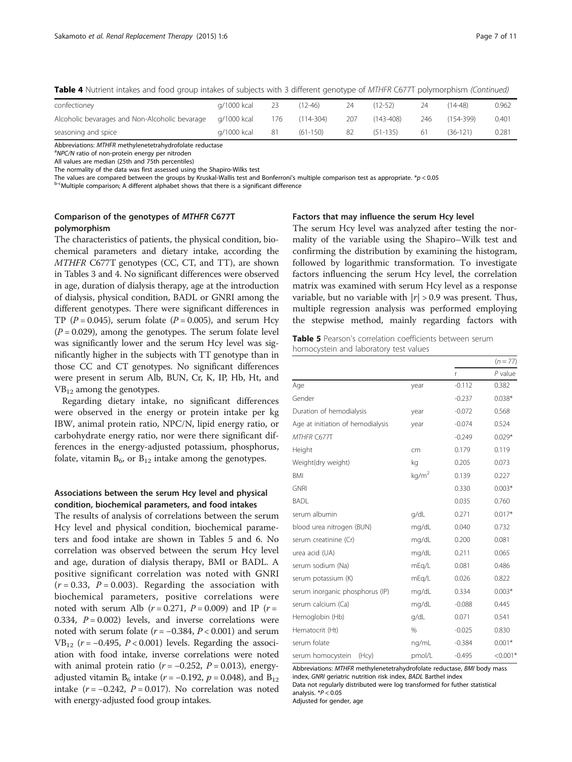Table 4 Nutrient intakes and food group intakes of subjects with 3 different genotype of MTHFR C677T polymorphism (Continued)

| confectioney                                   | g/1000 kcal | 23  | (12-46)     |     | (12-52)       | 24  | (14-48)       | 0.962 |
|------------------------------------------------|-------------|-----|-------------|-----|---------------|-----|---------------|-------|
| Alcoholic bevarages and Non-Alcoholic bevarage | g/1000 kcal | 176 | $(114-304)$ | 207 | $(143 - 408)$ | 246 | $(154 - 399)$ | 0.401 |
| seasoning and spice                            | a/1000 kcal | -81 | $(61-150)$  | 82  | $(51-135)$    | -61 | $(36-121)$    | 0.281 |

Abbreviations: MTHFR methylenetetrahydrofolate reductase

<sup>a</sup>NPC/N ratio of non-protein energy per nitroden

All values are median (25th and 75th percentiles)

The normality of the data was first assessed using the Shapiro-Wilks test

The values are compared between the groups by Kruskal-Wallis test and Bonferroni's multiple comparison test as appropriate.  $\ast p < 0.05$  b-CMultiple comparison; A different alphabet shows that there is a significant differ

## Comparison of the genotypes of MTHFR C677T polymorphism

The characteristics of patients, the physical condition, biochemical parameters and dietary intake, according the MTHFR C677T genotypes (CC, CT, and TT), are shown in Tables [3](#page-4-0) and [4.](#page-5-0) No significant differences were observed in age, duration of dialysis therapy, age at the introduction of dialysis, physical condition, BADL or GNRI among the different genotypes. There were significant differences in TP ( $P = 0.045$ ), serum folate ( $P = 0.005$ ), and serum Hcy  $(P = 0.029)$ , among the genotypes. The serum folate level was significantly lower and the serum Hcy level was significantly higher in the subjects with TT genotype than in those CC and CT genotypes. No significant differences were present in serum Alb, BUN, Cr, K, IP, Hb, Ht, and  $VB_{12}$  among the genotypes.

Regarding dietary intake, no significant differences were observed in the energy or protein intake per kg IBW, animal protein ratio, NPC/N, lipid energy ratio, or carbohydrate energy ratio, nor were there significant differences in the energy-adjusted potassium, phosphorus, folate, vitamin  $B_6$ , or  $B_{12}$  intake among the genotypes.

# Associations between the serum Hcy level and physical condition, biochemical parameters, and food intakes

The results of analysis of correlations between the serum Hcy level and physical condition, biochemical parameters and food intake are shown in Tables 5 and [6](#page-7-0). No correlation was observed between the serum Hcy level and age, duration of dialysis therapy, BMI or BADL. A positive significant correlation was noted with GNRI  $(r = 0.33, P = 0.003)$ . Regarding the association with biochemical parameters, positive correlations were noted with serum Alb  $(r = 0.271, P = 0.009)$  and IP  $(r =$ 0.334,  $P = 0.002$ ) levels, and inverse correlations were noted with serum folate ( $r = -0.384$ ,  $P < 0.001$ ) and serum VB<sub>12</sub> ( $r = -0.495$ ,  $P < 0.001$ ) levels. Regarding the association with food intake, inverse correlations were noted with animal protein ratio ( $r = -0.252$ ,  $P = 0.013$ ), energyadjusted vitamin B<sub>6</sub> intake ( $r = -0.192$ ,  $p = 0.048$ ), and B<sub>12</sub> intake  $(r = −0.242, P = 0.017)$ . No correlation was noted with energy-adjusted food group intakes.

## Factors that may influence the serum Hcy level

The serum Hcy level was analyzed after testing the normality of the variable using the Shapiro–Wilk test and confirming the distribution by examining the histogram, followed by logarithmic transformation. To investigate factors influencing the serum Hcy level, the correlation matrix was examined with serum Hcy level as a response variable, but no variable with  $|r| > 0.9$  was present. Thus, multiple regression analysis was performed employing the stepwise method, mainly regarding factors with

Table 5 Pearson's correlation coefficients between serum homocystein and laboratory test values

|                                   |                   |          | $(n = 77)$ |
|-----------------------------------|-------------------|----------|------------|
|                                   |                   | r        | $P$ value  |
| Age                               | year              | $-0.112$ | 0.382      |
| Gender                            |                   | $-0.237$ | $0.038*$   |
| Duration of hemodialysis          | year              | $-0.072$ | 0.568      |
| Age at initiation of hemodialysis | year              | $-0.074$ | 0.524      |
| MTHFR C677T                       |                   | $-0.249$ | $0.029*$   |
| Height                            | cm                | 0.179    | 0.119      |
| Weight(dry weight)                | kg                | 0.205    | 0.073      |
| <b>BMI</b>                        | kg/m <sup>2</sup> | 0.139    | 0.227      |
| <b>GNRI</b>                       |                   | 0.330    | $0.003*$   |
| <b>BADI</b>                       |                   | 0.035    | 0.760      |
| serum albumin                     | g/dL              | 0.271    | $0.017*$   |
| blood urea nitrogen (BUN)         | mg/dL             | 0.040    | 0.732      |
| serum creatinine (Cr)             | mg/dL             | 0.200    | 0.081      |
| urea acid (UA)                    | mg/dL             | 0.211    | 0.065      |
| serum sodium (Na)                 | mEg/L             | 0.081    | 0.486      |
| serum potassium (K)               | mEg/L             | 0.026    | 0.822      |
| serum inorganic phosphorus (IP)   | mg/dL             | 0.334    | $0.003*$   |
| serum calcium (Ca)                | mg/dL             | $-0.088$ | 0.445      |
| Hemoglobin (Hb)                   | g/dL              | 0.071    | 0.541      |
| Hematocrit (Ht)                   | %                 | $-0.025$ | 0.830      |
| serum folate                      | ng/mL             | $-0.384$ | $0.001*$   |
| serum homocystein<br>(Hcy)        | pmol/L            | $-0.495$ | $< 0.001*$ |

Abbreviations: MTHFR methylenetetrahydrofolate reductase, BMI body mass index, GNRI geriatric nutrition risk index, BADL Barthel index Data not regularly distributed were log transformed for futher statistical analysis. \*P < 0.05

Adjusted for gender, age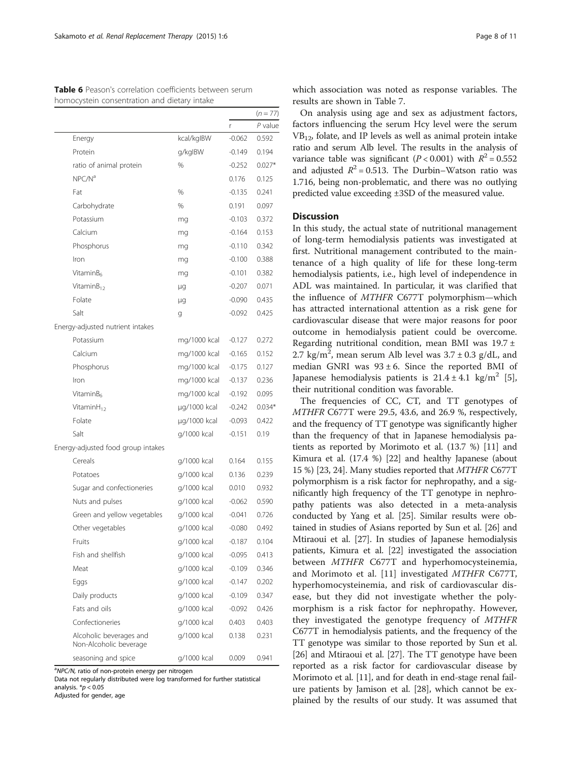<span id="page-7-0"></span>

| <b>Table 6</b> Peason's correlation coefficients between serum |
|----------------------------------------------------------------|
| homocystein consentration and dietary intake                   |

|                                                   |              |          | $(n = 77)$ |
|---------------------------------------------------|--------------|----------|------------|
|                                                   |              | r        | P value    |
| Energy                                            | kcal/kgIBW   | $-0.062$ | 0.592      |
| Protein                                           | g/kgIBW      | $-0.149$ | 0.194      |
| ratio of animal protein                           | %            | $-0.252$ | $0.027*$   |
| NPC/N <sup>a</sup>                                |              | 0.176    | 0.125      |
| Fat                                               | %            | $-0.135$ | 0.241      |
| Carbohydrate                                      | %            | 0.191    | 0.097      |
| Potassium                                         | mg           | $-0.103$ | 0.372      |
| Calcium                                           | mg           | $-0.164$ | 0.153      |
| Phosphorus                                        | mg           | $-0.110$ | 0.342      |
| Iron                                              | mg           | $-0.100$ | 0.388      |
| VitaminB <sub>6</sub>                             | mg           | $-0.101$ | 0.382      |
| Vitamin $B_{12}$                                  | μg           | $-0.207$ | 0.071      |
| Folate                                            | μg           | $-0.090$ | 0.435      |
| Salt                                              | g            | $-0.092$ | 0.425      |
| Energy-adjusted nutrient intakes                  |              |          |            |
| Potassium                                         | mg/1000 kcal | $-0.127$ | 0.272      |
| Calcium                                           | mg/1000 kcal | $-0.165$ | 0.152      |
| Phosphorus                                        | mg/1000 kcal | $-0.175$ | 0.127      |
| Iron                                              | mg/1000 kcal | $-0.137$ | 0.236      |
| VitaminB <sub>6</sub>                             | mg/1000 kcal | $-0.192$ | 0.095      |
| Vitamin $H_{12}$                                  | µg/1000 kcal | $-0.242$ | $0.034*$   |
| Folate                                            | µg/1000 kcal | $-0.093$ | 0.422      |
| Salt                                              | g/1000 kcal  | $-0.151$ | 0.19       |
| Energy-adjusted food group intakes                |              |          |            |
| Cereals                                           | g/1000 kcal  | 0.164    | 0.155      |
| Potatoes                                          | g/1000 kcal  | 0.136    | 0.239      |
| Sugar and confectioneries                         | g/1000 kcal  | 0.010    | 0.932      |
| Nuts and pulses                                   | g/1000 kcal  | $-0.062$ | 0.590      |
| Green and yellow vegetables                       | g/1000 kcal  | $-0.041$ | 0.726      |
| Other vegetables                                  | g/1000 kcal  | $-0.080$ | 0.492      |
| Fruits                                            | g/1000 kcal  | $-0.187$ | 0.104      |
| Fish and shellfish                                | g/1000 kcal  | $-0.095$ | 0.413      |
| Meat                                              | g/1000 kcal  | $-0.109$ | 0.346      |
| Eggs                                              | g/1000 kcal  | $-0.147$ | 0.202      |
| Daily products                                    | g/1000 kcal  | $-0.109$ | 0.347      |
| Fats and oils                                     | g/1000 kcal  | $-0.092$ | 0.426      |
| Confectioneries                                   | g/1000 kcal  | 0.403    | 0.403      |
| Alcoholic beverages and<br>Non-Alcoholic beverage | g/1000 kcal  | 0.138    | 0.231      |
| seasoning and spice                               | g/1000 kcal  | 0.009    | 0.941      |

<sup>a</sup>NPC/N, ratio of non-protein energy per nitrogen

Data not regularly distributed were log transformed for further statistical analysis.  $*p < 0.05$ 

Adjusted for gender, age

which association was noted as response variables. The results are shown in Table [7](#page-8-0).

On analysis using age and sex as adjustment factors, factors influencing the serum Hcy level were the serum  $VB<sub>12</sub>$ , folate, and IP levels as well as animal protein intake ratio and serum Alb level. The results in the analysis of variance table was significant  $(P < 0.001)$  with  $R^2 = 0.552$ and adjusted  $R^2 = 0.513$ . The Durbin–Watson ratio was 1.716, being non-problematic, and there was no outlying predicted value exceeding ±3SD of the measured value.

## Discussion

In this study, the actual state of nutritional management of long-term hemodialysis patients was investigated at first. Nutritional management contributed to the maintenance of a high quality of life for these long-term hemodialysis patients, i.e., high level of independence in ADL was maintained. In particular, it was clarified that the influence of MTHFR C677T polymorphism—which has attracted international attention as a risk gene for cardiovascular disease that were major reasons for poor outcome in hemodialysis patient could be overcome. Regarding nutritional condition, mean BMI was 19.7 ± 2.7 kg/m<sup>2</sup>, mean serum Alb level was  $3.7 \pm 0.3$  g/dL, and median GNRI was  $93 \pm 6$ . Since the reported BMI of Japanese hemodialysis patients is  $21.4 \pm 4.1$  kg/m<sup>2</sup> [\[5](#page-9-0)], their nutritional condition was favorable.

The frequencies of CC, CT, and TT genotypes of MTHFR C677T were 29.5, 43.6, and 26.9 %, respectively, and the frequency of TT genotype was significantly higher than the frequency of that in Japanese hemodialysis patients as reported by Morimoto et al. (13.7 %) [[11](#page-9-0)] and Kimura et al. (17.4 %) [\[22\]](#page-9-0) and healthy Japanese (about 15 %) [[23](#page-9-0), [24\]](#page-9-0). Many studies reported that MTHFR C677T polymorphism is a risk factor for nephropathy, and a significantly high frequency of the TT genotype in nephropathy patients was also detected in a meta-analysis conducted by Yang et al. [\[25\]](#page-9-0). Similar results were obtained in studies of Asians reported by Sun et al. [\[26\]](#page-9-0) and Mtiraoui et al. [\[27\]](#page-9-0). In studies of Japanese hemodialysis patients, Kimura et al. [[22](#page-9-0)] investigated the association between MTHFR C677T and hyperhomocysteinemia, and Morimoto et al. [[11\]](#page-9-0) investigated MTHFR C677T, hyperhomocysteinemia, and risk of cardiovascular disease, but they did not investigate whether the polymorphism is a risk factor for nephropathy. However, they investigated the genotype frequency of MTHFR C677T in hemodialysis patients, and the frequency of the TT genotype was similar to those reported by Sun et al. [[26](#page-9-0)] and Mtiraoui et al. [\[27\]](#page-9-0). The TT genotype have been reported as a risk factor for cardiovascular disease by Morimoto et al. [[11\]](#page-9-0), and for death in end-stage renal failure patients by Jamison et al. [\[28\]](#page-10-0), which cannot be explained by the results of our study. It was assumed that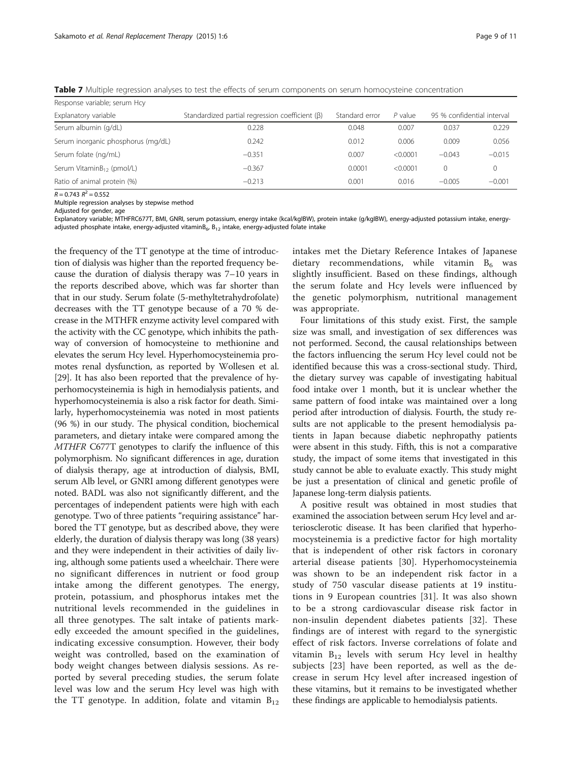<span id="page-8-0"></span>Table 7 Multiple regression analyses to test the effects of serum components on serum homocysteine concentration

| Response variable; serum Hcy       |                                                       |                |           |                            |          |
|------------------------------------|-------------------------------------------------------|----------------|-----------|----------------------------|----------|
| Explanatory variable               | Standardized partial regression coefficient $(\beta)$ | Standard error | $P$ value | 95 % confidential interval |          |
| Serum albumin (g/dL)               | 0.228                                                 | 0.048          | 0.007     | 0.037                      | 0.229    |
| Serum inorganic phosphorus (mg/dL) | 0.242                                                 | 0.012          | 0.006     | 0.009                      | 0.056    |
| Serum folate (ng/mL)               | $-0.351$                                              | 0.007          | < 0.0001  | $-0.043$                   | $-0.015$ |
| Serum Vitamin $B_{12}$ (pmol/L)    | $-0.367$                                              | 0.0001         | < 0.0001  |                            | $\Omega$ |
| Ratio of animal protein (%)        | $-0.213$                                              | 0.001          | 0.016     | $-0.005$                   | $-0.001$ |

 $R = 0.743 R^2 = 0.552$ 

Multiple regression analyses by stepwise method

Adjusted for gender, age

Explanatory variable; MTHFRC677T, BMI, GNRI, serum potassium, energy intake (kcal/kgIBW), protein intake (g/kgIBW), energy-adjusted potassium intake, energyadjusted phosphate intake, energy-adjusted vitamin $B_6$ ,  $B_{12}$  intake, energy-adjusted folate intake

the frequency of the TT genotype at the time of introduction of dialysis was higher than the reported frequency because the duration of dialysis therapy was 7–10 years in the reports described above, which was far shorter than that in our study. Serum folate (5-methyltetrahydrofolate) decreases with the TT genotype because of a 70 % decrease in the MTHFR enzyme activity level compared with the activity with the CC genotype, which inhibits the pathway of conversion of homocysteine to methionine and elevates the serum Hcy level. Hyperhomocysteinemia promotes renal dysfunction, as reported by Wollesen et al. [[29](#page-10-0)]. It has also been reported that the prevalence of hyperhomocysteinemia is high in hemodialysis patients, and hyperhomocysteinemia is also a risk factor for death. Similarly, hyperhomocysteinemia was noted in most patients (96 %) in our study. The physical condition, biochemical parameters, and dietary intake were compared among the MTHFR C677T genotypes to clarify the influence of this polymorphism. No significant differences in age, duration of dialysis therapy, age at introduction of dialysis, BMI, serum Alb level, or GNRI among different genotypes were noted. BADL was also not significantly different, and the percentages of independent patients were high with each genotype. Two of three patients "requiring assistance" harbored the TT genotype, but as described above, they were elderly, the duration of dialysis therapy was long (38 years) and they were independent in their activities of daily living, although some patients used a wheelchair. There were no significant differences in nutrient or food group intake among the different genotypes. The energy, protein, potassium, and phosphorus intakes met the nutritional levels recommended in the guidelines in all three genotypes. The salt intake of patients markedly exceeded the amount specified in the guidelines, indicating excessive consumption. However, their body weight was controlled, based on the examination of body weight changes between dialysis sessions. As reported by several preceding studies, the serum folate level was low and the serum Hcy level was high with the TT genotype. In addition, folate and vitamin  $B_{12}$ 

intakes met the Dietary Reference Intakes of Japanese dietary recommendations, while vitamin  $B_6$  was slightly insufficient. Based on these findings, although the serum folate and Hcy levels were influenced by the genetic polymorphism, nutritional management was appropriate.

Four limitations of this study exist. First, the sample size was small, and investigation of sex differences was not performed. Second, the causal relationships between the factors influencing the serum Hcy level could not be identified because this was a cross-sectional study. Third, the dietary survey was capable of investigating habitual food intake over 1 month, but it is unclear whether the same pattern of food intake was maintained over a long period after introduction of dialysis. Fourth, the study results are not applicable to the present hemodialysis patients in Japan because diabetic nephropathy patients were absent in this study. Fifth, this is not a comparative study, the impact of some items that investigated in this study cannot be able to evaluate exactly. This study might be just a presentation of clinical and genetic profile of Japanese long-term dialysis patients.

A positive result was obtained in most studies that examined the association between serum Hcy level and arteriosclerotic disease. It has been clarified that hyperhomocysteinemia is a predictive factor for high mortality that is independent of other risk factors in coronary arterial disease patients [[30](#page-10-0)]. Hyperhomocysteinemia was shown to be an independent risk factor in a study of 750 vascular disease patients at 19 institutions in 9 European countries [\[31](#page-10-0)]. It was also shown to be a strong cardiovascular disease risk factor in non-insulin dependent diabetes patients [[32\]](#page-10-0). These findings are of interest with regard to the synergistic effect of risk factors. Inverse correlations of folate and vitamin  $B_{12}$  levels with serum Hcy level in healthy subjects [[23\]](#page-9-0) have been reported, as well as the decrease in serum Hcy level after increased ingestion of these vitamins, but it remains to be investigated whether these findings are applicable to hemodialysis patients.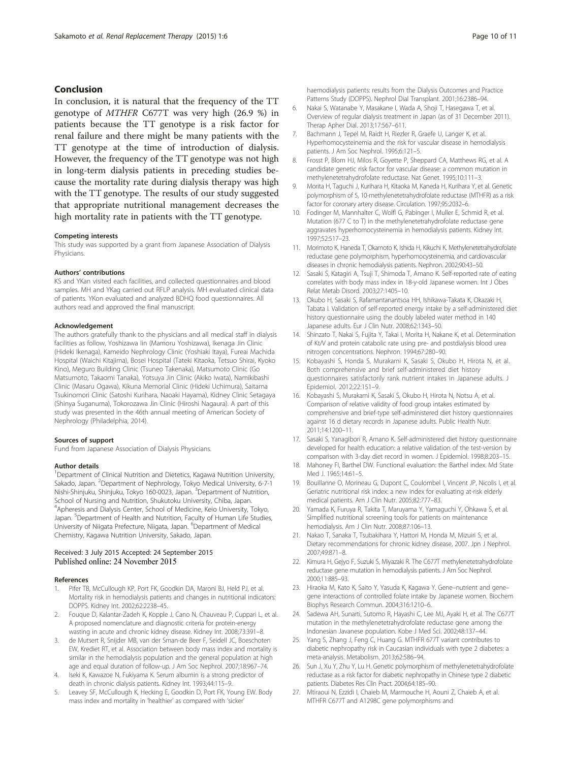## <span id="page-9-0"></span>Conclusion

In conclusion, it is natural that the frequency of the TT genotype of MTHFR C677T was very high (26.9 %) in patients because the TT genotype is a risk factor for renal failure and there might be many patients with the TT genotype at the time of introduction of dialysis. However, the frequency of the TT genotype was not high in long-term dialysis patients in preceding studies because the mortality rate during dialysis therapy was high with the TT genotype. The results of our study suggested that appropriate nutritional management decreases the high mortality rate in patients with the TT genotype.

## Competing interests

This study was supported by a grant from Japanese Association of Dialysis Physicians.

### Authors' contributions

KS and YKan visited each facilities, and collected questionnaires and blood samples. MH and YKag carried out RFLP analysis. MH evaluated clinical data of patients. YKon evaluated and analyzed BDHQ food questionnaires. All authors read and approved the final manuscript.

#### Acknowledgement

The authors gratefully thank to the physicians and all medical staff in dialysis facilities as follow, Yoshizawa Iin (Mamoru Yoshizawa), Ikenaga Jin Clinic (Hideki Ikenaga), Kameido Nephrology Clinic (Yoshiaki Itaya), Fureai Machida Hospital (Waichi Kitajima), Bosei Hospital (Tateki Kitaoka, Tetsuo Shirai, Kyoko Kino), Meguro Building Clinic (Tsuneo Takenaka), Matsumoto Clinic (Go Matsumoto, Takaomi Tanaka), Yotsuya Jin Clinic (Akiko Iwata), Namikibashi Clinic (Masaru Ogawa), Kikuna Memorial Clinic (Hideki Uchimura), Saitama Tsukinomori Clinic (Satoshi Kurihara, Naoaki Hayama), Kidney Clinic Setagaya (Shinya Suganuma), Tokorozawa Jin Clinic (Hiroshi Nagaura). A part of this study was presented in the 46th annual meeting of American Society of Nephrology (Philadelphia, 2014).

#### Sources of support

Fund from Japanese Association of Dialysis Physicians.

#### Author details

<sup>1</sup>Department of Clinical Nutrition and Dietetics, Kagawa Nutrition University, Sakado, Japan. <sup>2</sup>Department of Nephrology, Tokyo Medical University, 6-7-1 Nishi-Shinjuku, Shinjuku, Tokyo 160-0023, Japan. <sup>3</sup>Department of Nutrition, School of Nursing and Nutrition, Shukutoku University, Chiba, Japan. 4 Apheresis and Dialysis Center, School of Medicine, Keio University, Tokyo, Japan. <sup>5</sup>Department of Health and Nutrition, Faculty of Human Life Studies, University of Niigata Prefecture, Niigata, Japan. <sup>6</sup>Department of Medical Chemistry, Kagawa Nutrition University, Sakado, Japan.

#### Received: 3 July 2015 Accepted: 24 September 2015 Published online: 24 November 2015

#### References

- 1. Pifer TB, McCullough KP, Port FK, Goodkin DA, Maroni BJ, Held PJ, et al. Mortality risk in hemodialysis patients and changes in nutritional indicators: DOPPS. Kidney Int. 2002;62:2238–45.
- 2. Fouque D, Kalantar-Zadeh K, Kopple J, Cano N, Chauveau P, Cuppari L, et al. A proposed nomenclature and diagnostic criteria for protein-energy wasting in acute and chronic kidney disease. Kidney Int. 2008;73:391–8.
- 3. de Mutsert R, Snijder MB, van der Sman-de Beer F, Seidell JC, Boeschoten EW, Krediet RT, et al. Association between body mass index and mortality is similar in the hemodialysis population and the general population at high age and equal duration of follow-up. J Am Soc Nephrol. 2007;18:967–74.
- 4. Iseki K, Kawazoe N, Fukiyama K. Serum albumin is a strong predictor of death in chronic dialysis patients. Kidney Int. 1993;44:115–9.
- 5. Leavey SF, McCullough K, Hecking E, Goodkin D, Port FK, Young EW. Body mass index and mortality in 'healthier' as compared with 'sicker'

haemodialysis patients: results from the Dialysis Outcomes and Practice Patterns Study (DOPPS). Nephrol Dial Transplant. 2001;16:2386–94.

- 6. Nakai S, Watanabe Y, Masakane I, Wada A, Shoji T, Hasegawa T, et al. Overview of regular dialysis treatment in Japan (as of 31 December 2011). Therap Apher Dial. 2013;17:567–611.
- Bachmann J, Tepel M, Raidt H, Riezler R, Graefe U, Langer K, et al. Hyperhomocysteinemia and the risk for vascular disease in hemodialysis patients. J Am Soc Nephrol. 1995;6:121–5.
- 8. Frosst P, Blom HJ, Milos R, Goyette P, Sheppard CA, Matthews RG, et al. A candidate genetic risk factor for vascular disease: a common mutation in methylenetetrahydrofolate reductase. Nat Genet. 1995;10:111–3.
- 9. Morita H, Taguchi J, Kurihara H, Kitaoka M, Kaneda H, Kurihara Y, et al. Genetic polymorphism of 5, 10-methylenetetrahydrofolate reductase (MTHFR) as a risk factor for coronary artery disease. Circulation. 1997;95:2032–6.
- 10. Fodinger M, Mannhalter C, Wolfl G, Pabinger I, Muller E, Schmid R, et al. Mutation (677 C to T) in the methylenetetrahydrofolate reductase gene aggravates hyperhomocysteinemia in hemodialysis patients. Kidney Int. 1997;52:517–23.
- 11. Morimoto K, Haneda T, Okamoto K, Ishida H, Kikuchi K. Methylenetetrahydrofolate reductase gene polymorphism, hyperhomocysteinemia, and cardiovascular diseases in chronic hemodialysis patients. Nephron. 2002;90:43–50.
- 12. Sasaki S, Katagiri A, Tsuji T, Shimoda T, Amano K. Self-reported rate of eating correlates with body mass index in 18-y-old Japanese women. Int J Obes Relat Metab Disord. 2003;27:1405–10.
- 13. Okubo H, Sasaki S, Rafamantanantsoa HH, Ishikawa-Takata K, Okazaki H, Tabata I. Validation of self-reported energy intake by a self-administered diet history questionnaire using the doubly labeled water method in 140 Japanese adults. Eur J Clin Nutr. 2008;62:1343–50.
- 14. Shinzato T, Nakai S, Fujita Y, Takai I, Morita H, Nakane K, et al. Determination of Kt/V and protein catabolic rate using pre- and postdialysis blood urea nitrogen concentrations. Nephron. 1994;67:280–90.
- 15. Kobayashi S, Honda S, Murakami K, Sasaki S, Okubo H, Hirota N, et al. Both comprehensive and brief self-administered diet history questionnaires satisfactorily rank nutrient intakes in Japanese adults. J Epidemiol. 2012;22:151–9.
- 16. Kobayashi S, Murakami K, Sasaki S, Okubo H, Hirota N, Notsu A, et al. Comparison of relative validity of food group intakes estimated by comprehensive and brief-type self-administered diet history questionnaires against 16 d dietary records in Japanese adults. Public Health Nutr. 2011;14:1200–11.
- 17. Sasaki S, Yanagibori R, Amano K. Self-administered diet history questionnaire developed for health education: a relative validation of the test-version by comparison with 3-day diet record in women. J Epidemiol. 1998;8:203–15.
- 18. Mahoney FI, Barthel DW. Functional evaluation: the Barthel index. Md State Med J. 1965;14:61–5.
- 19. Bouillanne O, Morineau G, Dupont C, Coulombel I, Vincent JP, Nicolis I, et al. Geriatric nutritional risk index: a new index for evaluating at-risk elderly medical patients. Am J Clin Nutr. 2005;82:777–83.
- 20. Yamada K, Furuya R, Takita T, Maruyama Y, Yamaguchi Y, Ohkawa S, et al. Simplified nutritional screening tools for patients on maintenance hemodialysis. Am J Clin Nutr. 2008;87:106–13.
- 21. Nakao T, Sanaka T, Tsubakihara Y, Hattori M, Honda M, Mizuiri S, et al. Dietary recommendations for chronic kidney disease, 2007. Jpn J Nephrol. 2007;49:871–8.
- 22. Kimura H, Gejyo F, Suzuki S, Miyazaki R. The C677T methylenetetrahydrofolate reductase gene mutation in hemodialysis patients. J Am Soc Nephrol. 2000;11:885–93.
- 23. Hiraoka M, Kato K, Saito Y, Yasuda K, Kagawa Y. Gene-nutrient and genegene interactions of controlled folate intake by Japanese women. Biochem Biophys Research Commun. 2004;316:1210–6.
- 24. Sadewa AH, Sunarti, Sutomo R, Hayashi C, Lee MJ, Ayaki H, et al. The C677T mutation in the methylenetetrahydrofolate reductase gene among the Indonesian Javanese population. Kobe J Med Sci. 2002;48:137–44.
- 25. Yang S, Zhang J, Feng C, Huang G. MTHFR 677T variant contributes to diabetic nephropathy risk in Caucasian individuals with type 2 diabetes: a meta-analysis. Metabolism. 2013;62:586–94.
- 26. Sun J, Xu Y, Zhu Y, Lu H. Genetic polymorphism of methylenetetrahydrofolate reductase as a risk factor for diabetic nephropathy in Chinese type 2 diabetic patients. Diabetes Res Clin Pract. 2004;64:185–90.
- 27. Mtiraoui N, Ezzidi I, Chaieb M, Marmouche H, Aouni Z, Chaieb A, et al. MTHFR C677T and A1298C gene polymorphisms and